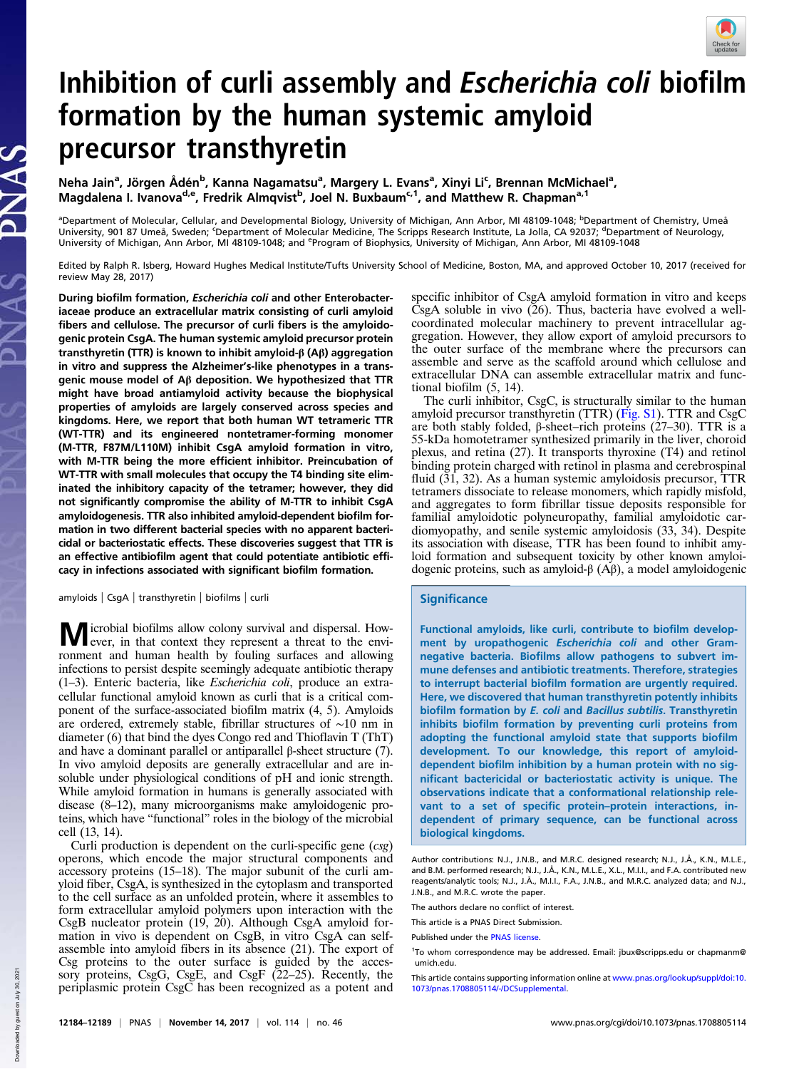

# Inhibition of curli assembly and Escherichia coli biofilm formation by the human systemic amyloid precursor transthyretin

Neha Jain<sup>a</sup>, Jörgen Ådén<sup>b</sup>, Kanna Nagamatsu<sup>a</sup>, Margery L. Evans<sup>a</sup>, Xinyi Li<sup>c</sup>, Brennan McMichael<sup>a</sup>, Magdalena I. Ivanova<sup>d,e</sup>, Fredrik Almqvist<sup>b</sup>, Joel N. Buxbaum<sup>c,1</sup>, and Matthew R. Chapman<sup>a,1</sup>

<sup>a</sup>Department of Molecular, Cellular, and Developmental Biology, University of Michigan, Ann Arbor, MI 48109-1048; <sup>b</sup>Department of Chemistry, Umeå University, 901 87 Umeå, Sweden; Department of Molecular Medicine, The Scripps Research Institute, La Jolla, CA 92037; <sup>d</sup>Department of Neurology, University of Michigan, Ann Arbor, MI 48109-1048; and <sup>e</sup>Program of Biophysics, University of Michigan, Ann Arbor, MI 48109-1048

Edited by Ralph R. Isberg, Howard Hughes Medical Institute/Tufts University School of Medicine, Boston, MA, and approved October 10, 2017 (received for review May 28, 2017)

During biofilm formation, Escherichia coli and other Enterobacteriaceae produce an extracellular matrix consisting of curli amyloid fibers and cellulose. The precursor of curli fibers is the amyloidogenic protein CsgA. The human systemic amyloid precursor protein transthyretin (TTR) is known to inhibit amyloid-β (Aβ) aggregation in vitro and suppress the Alzheimer's-like phenotypes in a transgenic mouse model of Aβ deposition. We hypothesized that TTR might have broad antiamyloid activity because the biophysical properties of amyloids are largely conserved across species and kingdoms. Here, we report that both human WT tetrameric TTR (WT-TTR) and its engineered nontetramer-forming monomer (M-TTR, F87M/L110M) inhibit CsgA amyloid formation in vitro, with M-TTR being the more efficient inhibitor. Preincubation of WT-TTR with small molecules that occupy the T4 binding site eliminated the inhibitory capacity of the tetramer; however, they did not significantly compromise the ability of M-TTR to inhibit CsgA amyloidogenesis. TTR also inhibited amyloid-dependent biofilm formation in two different bacterial species with no apparent bactericidal or bacteriostatic effects. These discoveries suggest that TTR is an effective antibiofilm agent that could potentiate antibiotic efficacy in infections associated with significant biofilm formation.

amyloids | CsgA | transthyretin | biofilms | curli

Microbial biofilms allow colony survival and dispersal. How-ever, in that context they represent a threat to the environment and human health by fouling surfaces and allowing infections to persist despite seemingly adequate antibiotic therapy (1–3). Enteric bacteria, like Escherichia coli, produce an extracellular functional amyloid known as curli that is a critical component of the surface-associated biofilm matrix (4, 5). Amyloids are ordered, extremely stable, fibrillar structures of ∼10 nm in diameter (6) that bind the dyes Congo red and Thioflavin T (ThT) and have a dominant parallel or antiparallel  $\beta$ -sheet structure (7). In vivo amyloid deposits are generally extracellular and are insoluble under physiological conditions of pH and ionic strength. While amyloid formation in humans is generally associated with disease (8–12), many microorganisms make amyloidogenic proteins, which have "functional" roles in the biology of the microbial cell (13, 14).

Curli production is dependent on the curli-specific gene (csg) operons, which encode the major structural components and accessory proteins (15–18). The major subunit of the curli amyloid fiber, CsgA, is synthesized in the cytoplasm and transported to the cell surface as an unfolded protein, where it assembles to form extracellular amyloid polymers upon interaction with the CsgB nucleator protein (19, 20). Although CsgA amyloid formation in vivo is dependent on CsgB, in vitro CsgA can selfassemble into amyloid fibers in its absence (21). The export of Csg proteins to the outer surface is guided by the acces-sory proteins, CsgG, CsgE, and CsgF (22–25). Recently, the periplasmic protein CsgC has been recognized as a potent and specific inhibitor of CsgA amyloid formation in vitro and keeps  $\hat{C}$ sgA soluble in vivo  $(26)$ . Thus, bacteria have evolved a wellcoordinated molecular machinery to prevent intracellular aggregation. However, they allow export of amyloid precursors to the outer surface of the membrane where the precursors can assemble and serve as the scaffold around which cellulose and extracellular DNA can assemble extracellular matrix and functional biofilm (5, 14).

The curli inhibitor, CsgC, is structurally similar to the human amyloid precursor transthyretin (TTR) (Fig. S1). TTR and CsgC are both stably folded, β-sheet–rich proteins (27–30). TTR is a 55-kDa homotetramer synthesized primarily in the liver, choroid plexus, and retina (27). It transports thyroxine (T4) and retinol binding protein charged with retinol in plasma and cerebrospinal fluid (31, 32). As a human systemic amyloidosis precursor, TTR tetramers dissociate to release monomers, which rapidly misfold, and aggregates to form fibrillar tissue deposits responsible for familial amyloidotic polyneuropathy, familial amyloidotic cardiomyopathy, and senile systemic amyloidosis (33, 34). Despite its association with disease, TTR has been found to inhibit amyloid formation and subsequent toxicity by other known amyloidogenic proteins, such as amyloid-β (Aβ), a model amyloidogenic

## **Significance**

Functional amyloids, like curli, contribute to biofilm development by uropathogenic Escherichia coli and other Gramnegative bacteria. Biofilms allow pathogens to subvert immune defenses and antibiotic treatments. Therefore, strategies to interrupt bacterial biofilm formation are urgently required. Here, we discovered that human transthyretin potently inhibits biofilm formation by E. coli and Bacillus subtilis. Transthyretin inhibits biofilm formation by preventing curli proteins from adopting the functional amyloid state that supports biofilm development. To our knowledge, this report of amyloiddependent biofilm inhibition by a human protein with no significant bactericidal or bacteriostatic activity is unique. The observations indicate that a conformational relationship relevant to a set of specific protein–protein interactions, independent of primary sequence, can be functional across biological kingdoms.

Author contributions: N.J., J.N.B., and M.R.C. designed research; N.J., J.Å., K.N., M.L.E., and B.M. performed research; N.J., J.Å., K.N., M.L.E., X.L., M.I.I., and F.A. contributed new reagents/analytic tools; N.J., J.Å., M.I.I., F.A., J.N.B., and M.R.C. analyzed data; and N.J., J.N.B., and M.R.C. wrote the paper.

The authors declare no conflict of interest.

This article is a PNAS Direct Submission.

This article contains supporting information online at www.pnas.org/lookup/suppl/doi:10. 1073/pnas.1708805114/-/DCSupplemental.

Published under the PNAS license.

<sup>&</sup>lt;sup>1</sup>To whom correspondence may be addressed. Email: jbux@scripps.edu or chapmanm@ umich.edu.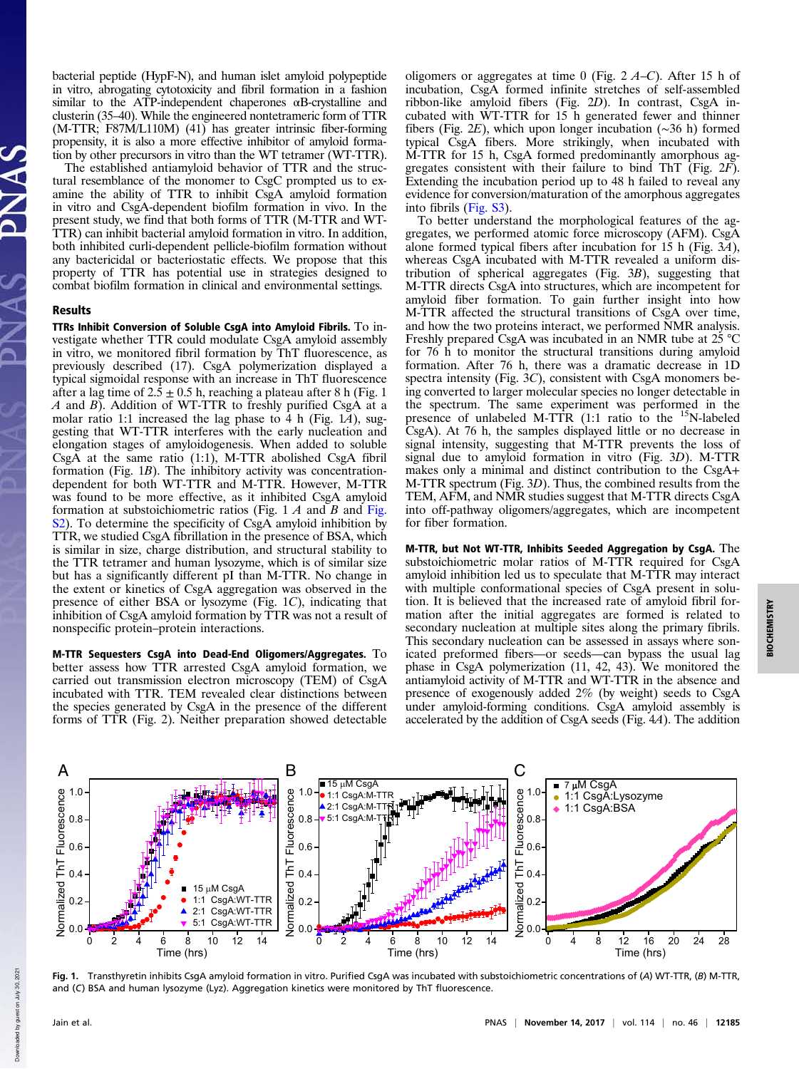bacterial peptide (HypF-N), and human islet amyloid polypeptide in vitro, abrogating cytotoxicity and fibril formation in a fashion similar to the ATP-independent chaperones  $\alpha$ B-crystalline and clusterin (35–40). While the engineered nontetrameric form of TTR (M-TTR; F87M/L110M) (41) has greater intrinsic fiber-forming propensity, it is also a more effective inhibitor of amyloid formation by other precursors in vitro than the WT tetramer (WT-TTR).

The established antiamyloid behavior of TTR and the structural resemblance of the monomer to CsgC prompted us to examine the ability of TTR to inhibit CsgA amyloid formation in vitro and CsgA-dependent biofilm formation in vivo. In the present study, we find that both forms of TTR (M-TTR and WT-TTR) can inhibit bacterial amyloid formation in vitro. In addition, both inhibited curli-dependent pellicle-biofilm formation without any bactericidal or bacteriostatic effects. We propose that this property of TTR has potential use in strategies designed to combat biofilm formation in clinical and environmental settings.

#### Results

TTRs Inhibit Conversion of Soluble CsgA into Amyloid Fibrils. To investigate whether TTR could modulate CsgA amyloid assembly in vitro, we monitored fibril formation by ThT fluorescence, as previously described (17). CsgA polymerization displayed a typical sigmoidal response with an increase in ThT fluorescence after a lag time of  $2.\overline{5} \pm 0.5$  h, reaching a plateau after 8 h (Fig. 1) A and B). Addition of WT-TTR to freshly purified CsgA at a molar ratio 1:1 increased the lag phase to 4 h (Fig. 1A), suggesting that WT-TTR interferes with the early nucleation and elongation stages of amyloidogenesis. When added to soluble CsgA at the same ratio (1:1), M-TTR abolished CsgA fibril formation (Fig. 1B). The inhibitory activity was concentrationdependent for both WT-TTR and M-TTR. However, M-TTR was found to be more effective, as it inhibited CsgA amyloid formation at substoichiometric ratios (Fig.  $1 \, \text{A}$  and  $\text{B}$  and Fig. S2). To determine the specificity of CsgA amyloid inhibition by TTR, we studied CsgA fibrillation in the presence of BSA, which is similar in size, charge distribution, and structural stability to the TTR tetramer and human lysozyme, which is of similar size but has a significantly different pI than M-TTR. No change in the extent or kinetics of CsgA aggregation was observed in the presence of either BSA or lysozyme (Fig. 1C), indicating that inhibition of CsgA amyloid formation by TTR was not a result of nonspecific protein–protein interactions.

M-TTR Sequesters CsgA into Dead-End Oligomers/Aggregates. To better assess how TTR arrested CsgA amyloid formation, we carried out transmission electron microscopy (TEM) of CsgA incubated with TTR. TEM revealed clear distinctions between the species generated by CsgA in the presence of the different forms of TTR (Fig. 2). Neither preparation showed detectable

oligomers or aggregates at time 0 (Fig.  $2 \text{ } A-C$ ). After 15 h of incubation, CsgA formed infinite stretches of self-assembled ribbon-like amyloid fibers (Fig. 2D). In contrast, CsgA incubated with WT-TTR for 15 h generated fewer and thinner fibers (Fig. 2E), which upon longer incubation (∼36 h) formed typical CsgA fibers. More strikingly, when incubated with M-TTR for 15 h, CsgA formed predominantly amorphous aggregates consistent with their failure to bind ThT (Fig.  $2\tilde{F}$ ). Extending the incubation period up to 48 h failed to reveal any evidence for conversion/maturation of the amorphous aggregates into fibrils (Fig. S3).

To better understand the morphological features of the aggregates, we performed atomic force microscopy (AFM). CsgA alone formed typical fibers after incubation for 15 h (Fig. 3A), whereas CsgA incubated with M-TTR revealed a uniform distribution of spherical aggregates (Fig. 3B), suggesting that M-TTR directs CsgA into structures, which are incompetent for amyloid fiber formation. To gain further insight into how M-TTR affected the structural transitions of CsgA over time, and how the two proteins interact, we performed NMR analysis. Freshly prepared CsgA was incubated in an NMR tube at 25 °C for 76 h to monitor the structural transitions during amyloid formation. After 76 h, there was a dramatic decrease in 1D spectra intensity (Fig. 3C), consistent with CsgA monomers being converted to larger molecular species no longer detectable in the spectrum. The same experiment was performed in the presence of unlabeled M-TTR  $(1:1 \text{ ratio to the } ^{15}N\text{-labeled})$ CsgA). At 76 h, the samples displayed little or no decrease in signal intensity, suggesting that M-TTR prevents the loss of signal due to amyloid formation in vitro (Fig. 3D). M-TTR makes only a minimal and distinct contribution to the CsgA+ M-TTR spectrum (Fig. 3D). Thus, the combined results from the TEM, AFM, and NMR studies suggest that M-TTR directs CsgA into off-pathway oligomers/aggregates, which are incompetent for fiber formation.

M-TTR, but Not WT-TTR, Inhibits Seeded Aggregation by CsgA. The substoichiometric molar ratios of M-TTR required for CsgA amyloid inhibition led us to speculate that M-TTR may interact with multiple conformational species of CsgA present in solution. It is believed that the increased rate of amyloid fibril formation after the initial aggregates are formed is related to secondary nucleation at multiple sites along the primary fibrils. This secondary nucleation can be assessed in assays where sonicated preformed fibers—or seeds—can bypass the usual lag phase in CsgA polymerization (11, 42, 43). We monitored the antiamyloid activity of M-TTR and WT-TTR in the absence and presence of exogenously added 2% (by weight) seeds to CsgA under amyloid-forming conditions. CsgA amyloid assembly is accelerated by the addition of CsgA seeds (Fig. 4A). The addition



Fig. 1. Transthyretin inhibits CsgA amyloid formation in vitro. Purified CsgA was incubated with substoichiometric concentrations of (A) WT-TTR, (B) M-TTR, and (C) BSA and human lysozyme (Lyz). Aggregation kinetics were monitored by ThT fluorescence.

Down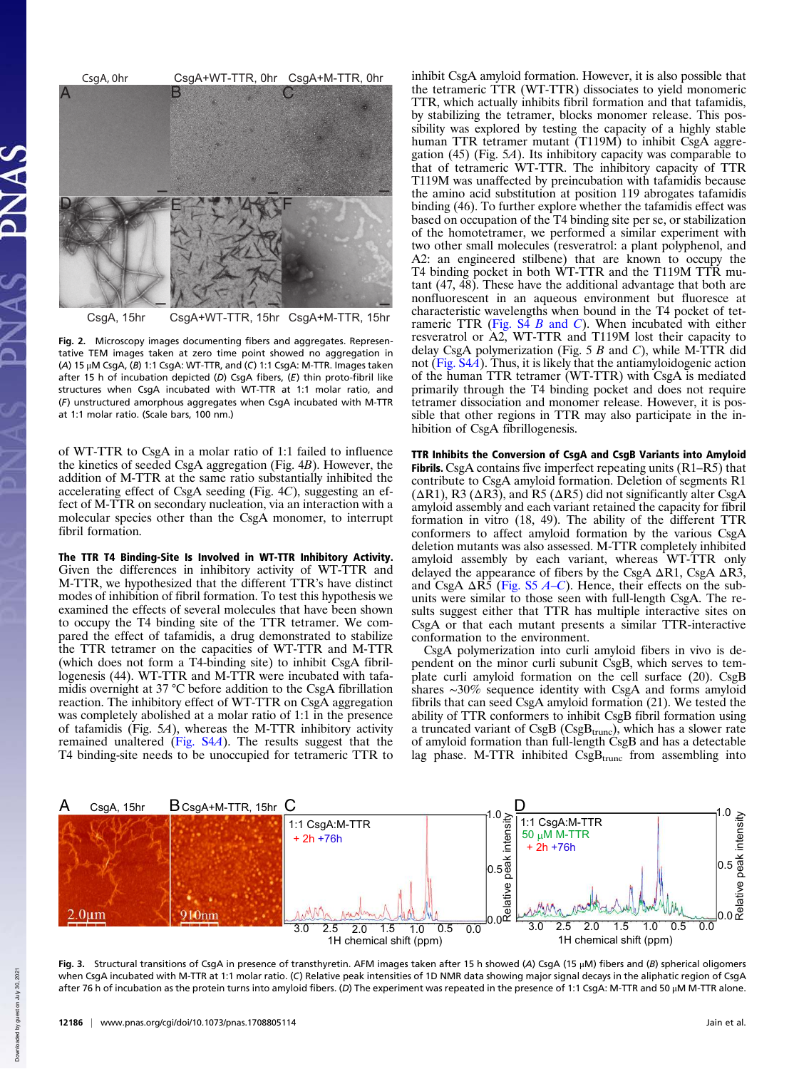

CsgA, 15hr CsgA+WT-TTR, 15hr CsgA+M-TTR, 15hr

Fig. 2. Microscopy images documenting fibers and aggregates. Representative TEM images taken at zero time point showed no aggregation in (A) 15 μM CsgA, (B) 1:1 CsgA: WT-TTR, and (C) 1:1 CsgA: M-TTR. Images taken after 15 h of incubation depicted (D) CsgA fibers,  $(E)$  thin proto-fibril like structures when CsgA incubated with WT-TTR at 1:1 molar ratio, and (F) unstructured amorphous aggregates when CsgA incubated with M-TTR at 1:1 molar ratio. (Scale bars, 100 nm.)

of WT-TTR to CsgA in a molar ratio of 1:1 failed to influence the kinetics of seeded CsgA aggregation (Fig. 4B). However, the addition of M-TTR at the same ratio substantially inhibited the accelerating effect of CsgA seeding (Fig. 4C), suggesting an effect of M-TTR on secondary nucleation, via an interaction with a molecular species other than the CsgA monomer, to interrupt fibril formation.

The TTR T4 Binding-Site Is Involved in WT-TTR Inhibitory Activity. Given the differences in inhibitory activity of WT-TTR and M-TTR, we hypothesized that the different TTR's have distinct modes of inhibition of fibril formation. To test this hypothesis we examined the effects of several molecules that have been shown to occupy the T4 binding site of the TTR tetramer. We compared the effect of tafamidis, a drug demonstrated to stabilize the TTR tetramer on the capacities of WT-TTR and M-TTR (which does not form a T4-binding site) to inhibit CsgA fibrillogenesis (44). WT-TTR and M-TTR were incubated with tafamidis overnight at 37 °C before addition to the CsgA fibrillation reaction. The inhibitory effect of WT-TTR on CsgA aggregation was completely abolished at a molar ratio of 1:1 in the presence of tafamidis (Fig. 5A), whereas the M-TTR inhibitory activity remained unaltered (Fig. S4A). The results suggest that the T4 binding-site needs to be unoccupied for tetrameric TTR to

inhibit CsgA amyloid formation. However, it is also possible that the tetrameric TTR (WT-TTR) dissociates to yield monomeric TTR, which actually inhibits fibril formation and that tafamidis, by stabilizing the tetramer, blocks monomer release. This possibility was explored by testing the capacity of a highly stable human TTR tetramer mutant (T119M) to inhibit CsgA aggregation (45) (Fig. 5A). Its inhibitory capacity was comparable to that of tetrameric WT-TTR. The inhibitory capacity of TTR T119M was unaffected by preincubation with tafamidis because the amino acid substitution at position 119 abrogates tafamidis binding (46). To further explore whether the tafamidis effect was based on occupation of the T4 binding site per se, or stabilization of the homotetramer, we performed a similar experiment with two other small molecules (resveratrol: a plant polyphenol, and A2: an engineered stilbene) that are known to occupy the T4 binding pocket in both WT-TTR and the T119M TTR mutant  $(47, 48)$ . These have the additional advantage that both are nonfluorescent in an aqueous environment but fluoresce at characteristic wavelengths when bound in the T4 pocket of tetrameric TTR (Fig.  $S\overline{4}$  B and C). When incubated with either resveratrol or A2, WT-TTR and T119M lost their capacity to delay CsgA polymerization (Fig.  $5 B$  and C), while M-TTR did not (Fig. S4A). Thus, it is likely that the antiamyloidogenic action of the human TTR tetramer (WT-TTR) with CsgA is mediated primarily through the T4 binding pocket and does not require tetramer dissociation and monomer release. However, it is possible that other regions in TTR may also participate in the inhibition of CsgA fibrillogenesis.

TTR Inhibits the Conversion of CsgA and CsgB Variants into Amyloid Fibrils. CsgA contains five imperfect repeating units (R1–R5) that contribute to CsgA amyloid formation. Deletion of segments R1  $(ΔR1)$ , R3  $(ΔR3)$ , and R5  $(ΔR5)$  did not significantly alter CsgA amyloid assembly and each variant retained the capacity for fibril formation in vitro (18, 49). The ability of the different TTR conformers to affect amyloid formation by the various CsgA deletion mutants was also assessed. M-TTR completely inhibited amyloid assembly by each variant, whereas WT-TTR only delayed the appearance of fibers by the CsgA  $\Delta$ R1, CsgA  $\Delta$ R3, and CsgA  $\Delta$ R5 (Fig. S5 A–C). Hence, their effects on the subunits were similar to those seen with full-length CsgA. The results suggest either that TTR has multiple interactive sites on CsgA or that each mutant presents a similar TTR-interactive conformation to the environment.

CsgA polymerization into curli amyloid fibers in vivo is dependent on the minor curli subunit CsgB, which serves to template curli amyloid formation on the cell surface (20). CsgB shares ∼30% sequence identity with CsgA and forms amyloid fibrils that can seed CsgA amyloid formation (21). We tested the ability of TTR conformers to inhibit CsgB fibril formation using a truncated variant of  $CsgB (CsgB<sub>trunc</sub>)$ , which has a slower rate of amyloid formation than full-length CsgB and has a detectable lag phase. M-TTR inhibited  $CsgB<sub>trunc</sub>$  from assembling into



Fig. 3. Structural transitions of CsgA in presence of transthyretin. AFM images taken after 15 h showed (A) CsgA (15 μM) fibers and (B) spherical oligomers when CsgA incubated with M-TTR at 1:1 molar ratio. (C) Relative peak intensities of 1D NMR data showing major signal decays in the aliphatic region of CsgA after 76 h of incubation as the protein turns into amyloid fibers. (D) The experiment was repeated in the presence of 1:1 CsgA: M-TTR and 50 μM M-TTR alone.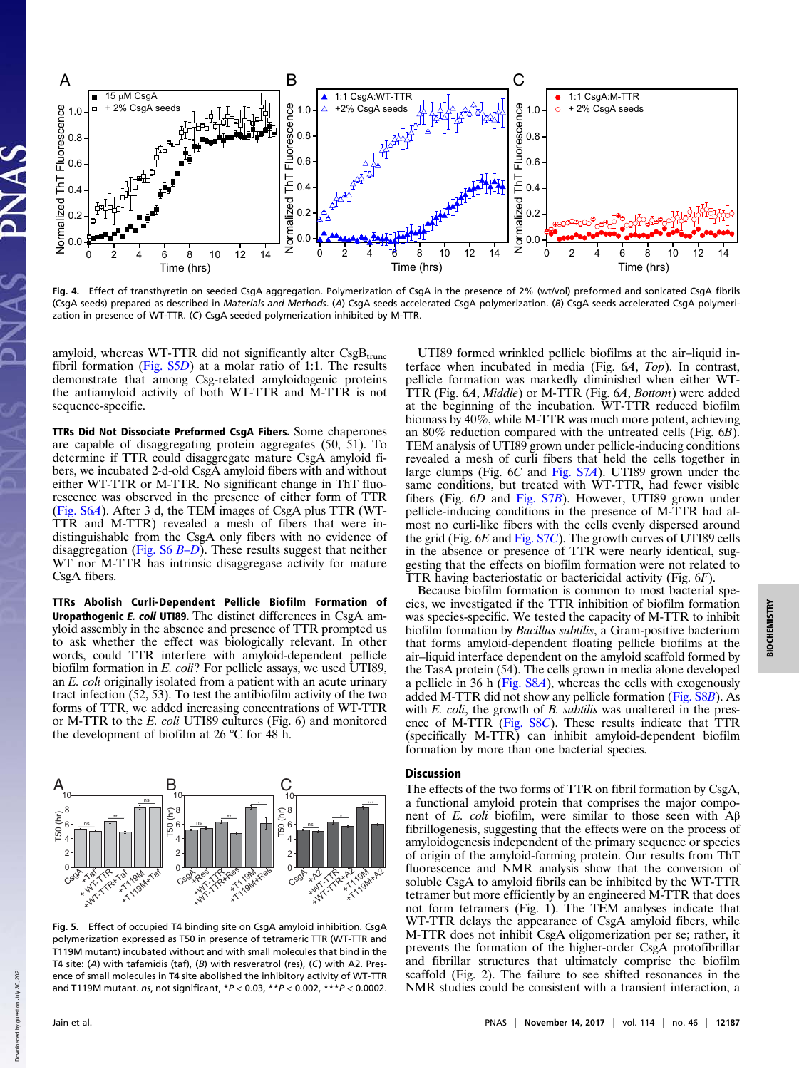

Fig. 4. Effect of transthyretin on seeded CsgA aggregation. Polymerization of CsgA in the presence of 2% (wt/vol) preformed and sonicated CsgA fibrils (CsgA seeds) prepared as described in Materials and Methods. (A) CsgA seeds accelerated CsgA polymerization. (B) CsgA seeds accelerated CsgA polymerization in presence of WT-TTR. (C) CsgA seeded polymerization inhibited by M-TTR.

amyloid, whereas WT-TTR did not significantly alter  $CsgB_{trunc}$ fibril formation (Fig.  $S5D$ ) at a molar ratio of 1:1. The results demonstrate that among Csg-related amyloidogenic proteins the antiamyloid activity of both WT-TTR and M-TTR is not sequence-specific.

TTRs Did Not Dissociate Preformed CsgA Fibers. Some chaperones are capable of disaggregating protein aggregates (50, 51). To determine if TTR could disaggregate mature CsgA amyloid fibers, we incubated 2-d-old CsgA amyloid fibers with and without either WT-TTR or M-TTR. No significant change in ThT fluorescence was observed in the presence of either form of TTR (Fig. S6A). After 3 d, the TEM images of CsgA plus TTR (WT-TTR and M-TTR) revealed a mesh of fibers that were indistinguishable from the CsgA only fibers with no evidence of disaggregation (Fig.  $S6 B-D$ ). These results suggest that neither WT nor M-TTR has intrinsic disaggregase activity for mature CsgA fibers.

TTRs Abolish Curli-Dependent Pellicle Biofilm Formation of Uropathogenic E. coli UTI89. The distinct differences in CsgA amyloid assembly in the absence and presence of TTR prompted us to ask whether the effect was biologically relevant. In other words, could TTR interfere with amyloid-dependent pellicle biofilm formation in E. coli? For pellicle assays, we used UTI89, an E. coli originally isolated from a patient with an acute urinary tract infection (52, 53). To test the antibiofilm activity of the two forms of TTR, we added increasing concentrations of WT-TTR or M-TTR to the E. coli UTI89 cultures (Fig. 6) and monitored the development of biofilm at 26 °C for 48 h.



Fig. 5. Effect of occupied T4 binding site on CsgA amyloid inhibition. CsgA polymerization expressed as T50 in presence of tetrameric TTR (WT-TTR and T119M mutant) incubated without and with small molecules that bind in the T4 site: (A) with tafamidis (taf), (B) with resveratrol (res), (C) with A2. Presence of small molecules in T4 site abolished the inhibitory activity of WT-TTR and T119M mutant. ns, not significant, \*P < 0.03, \*\*P < 0.002, \*\*\*P < 0.0002.

UTI89 formed wrinkled pellicle biofilms at the air–liquid interface when incubated in media (Fig. 6A, Top). In contrast, pellicle formation was markedly diminished when either WT-TTR (Fig. 6A, Middle) or M-TTR (Fig. 6A, Bottom) were added at the beginning of the incubation. WT-TTR reduced biofilm biomass by 40%, while M-TTR was much more potent, achieving an 80% reduction compared with the untreated cells (Fig. 6B). TEM analysis of UTI89 grown under pellicle-inducing conditions revealed a mesh of curli fibers that held the cells together in large clumps (Fig. 6C and Fig. S7A). UTI89 grown under the same conditions, but treated with WT-TTR, had fewer visible fibers (Fig. 6D and Fig. S7B). However, UTI89 grown under pellicle-inducing conditions in the presence of M-TTR had almost no curli-like fibers with the cells evenly dispersed around the grid (Fig. 6E and Fig. S7C). The growth curves of UTI89 cells in the absence or presence of TTR were nearly identical, suggesting that the effects on biofilm formation were not related to TTR having bacteriostatic or bactericidal activity (Fig. 6F).

Because biofilm formation is common to most bacterial species, we investigated if the TTR inhibition of biofilm formation was species-specific. We tested the capacity of M-TTR to inhibit biofilm formation by Bacillus subtilis, a Gram-positive bacterium that forms amyloid-dependent floating pellicle biofilms at the air–liquid interface dependent on the amyloid scaffold formed by the TasA protein (54). The cells grown in media alone developed a pellicle in 36 h (Fig. S8A), whereas the cells with exogenously added M-TTR did not show any pellicle formation (Fig. S8B). As with *E. coli*, the growth of *B. subtilis* was unaltered in the presence of M-TTR (Fig. S8C). These results indicate that TTR (specifically M-TTR) can inhibit amyloid-dependent biofilm formation by more than one bacterial species.

### **Discussion**

The effects of the two forms of TTR on fibril formation by CsgA, a functional amyloid protein that comprises the major component of E. coli biofilm, were similar to those seen with  $Aβ$ fibrillogenesis, suggesting that the effects were on the process of amyloidogenesis independent of the primary sequence or species of origin of the amyloid-forming protein. Our results from ThT fluorescence and NMR analysis show that the conversion of soluble CsgA to amyloid fibrils can be inhibited by the WT-TTR tetramer but more efficiently by an engineered M-TTR that does not form tetramers (Fig. 1). The TEM analyses indicate that WT-TTR delays the appearance of CsgA amyloid fibers, while M-TTR does not inhibit CsgA oligomerization per se; rather, it prevents the formation of the higher-order CsgA protofibrillar and fibrillar structures that ultimately comprise the biofilm scaffold (Fig. 2). The failure to see shifted resonances in the NMR studies could be consistent with a transient interaction, a

Down

2021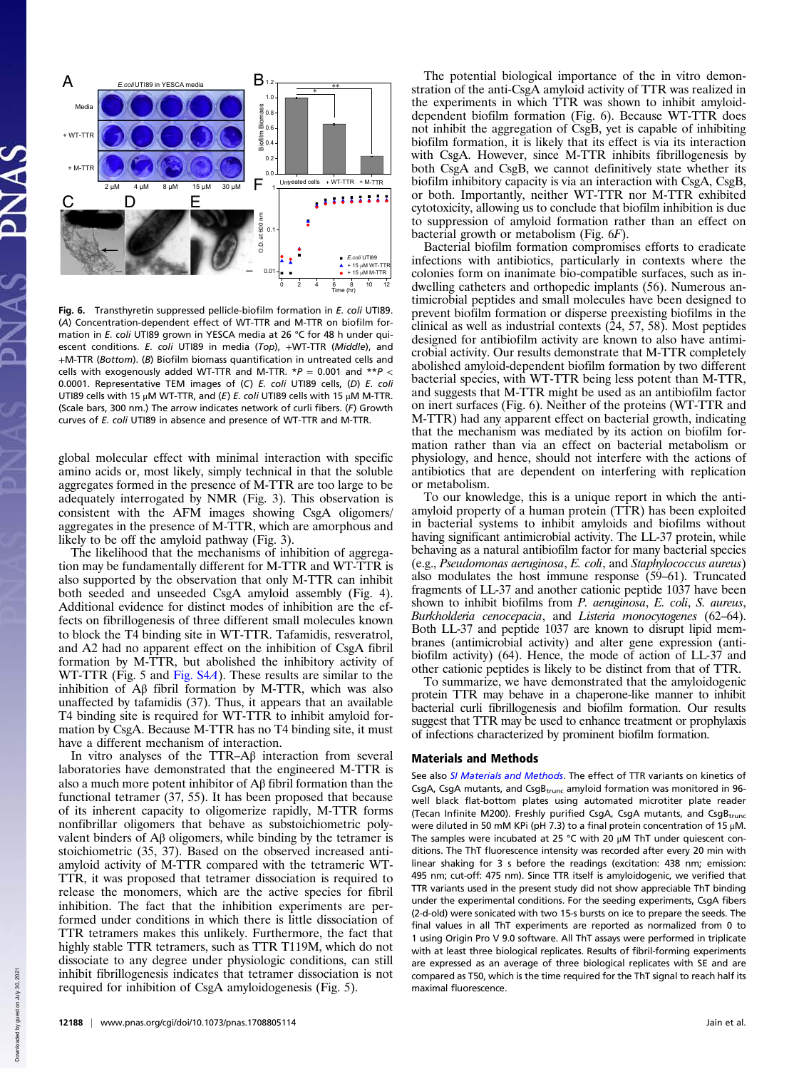

Fig. 6. Transthyretin suppressed pellicle-biofilm formation in E. coli UTI89. (A) Concentration-dependent effect of WT-TTR and M-TTR on biofilm formation in E. coli UTI89 grown in YESCA media at 26 °C for 48 h under quiescent conditions. E. coli UTI89 in media (Top), +WT-TTR (Middle), and +M-TTR (Bottom). (B) Biofilm biomass quantification in untreated cells and cells with exogenously added WT-TTR and M-TTR.  $*P = 0.001$  and  $*P <$ 0.0001. Representative TEM images of (C) E. coli UTI89 cells, (D) E. coli UTI89 cells with 15 μM WT-TTR, and (E) E. coli UTI89 cells with 15 μM M-TTR. (Scale bars, 300 nm.) The arrow indicates network of curli fibers. (F) Growth curves of E. coli UTI89 in absence and presence of WT-TTR and M-TTR.

global molecular effect with minimal interaction with specific amino acids or, most likely, simply technical in that the soluble aggregates formed in the presence of M-TTR are too large to be adequately interrogated by NMR (Fig. 3). This observation is consistent with the AFM images showing CsgA oligomers/ aggregates in the presence of M-TTR, which are amorphous and likely to be off the amyloid pathway (Fig. 3).

The likelihood that the mechanisms of inhibition of aggregation may be fundamentally different for M-TTR and WT-TTR is also supported by the observation that only M-TTR can inhibit both seeded and unseeded CsgA amyloid assembly (Fig. 4). Additional evidence for distinct modes of inhibition are the effects on fibrillogenesis of three different small molecules known to block the T4 binding site in WT-TTR. Tafamidis, resveratrol, and A2 had no apparent effect on the inhibition of CsgA fibril formation by M-TTR, but abolished the inhibitory activity of WT-TTR (Fig. 5 and Fig. S4A). These results are similar to the inhibition of Aβ fibril formation by M-TTR, which was also unaffected by tafamidis (37). Thus, it appears that an available T4 binding site is required for WT-TTR to inhibit amyloid formation by CsgA. Because M-TTR has no T4 binding site, it must have a different mechanism of interaction.

In vitro analyses of the TTR–Aβ interaction from several laboratories have demonstrated that the engineered M-TTR is also a much more potent inhibitor of Aβ fibril formation than the functional tetramer (37, 55). It has been proposed that because of its inherent capacity to oligomerize rapidly, M-TTR forms nonfibrillar oligomers that behave as substoichiometric polyvalent binders of Aβ oligomers, while binding by the tetramer is stoichiometric (35, 37). Based on the observed increased antiamyloid activity of M-TTR compared with the tetrameric WT-TTR, it was proposed that tetramer dissociation is required to release the monomers, which are the active species for fibril inhibition. The fact that the inhibition experiments are performed under conditions in which there is little dissociation of TTR tetramers makes this unlikely. Furthermore, the fact that highly stable TTR tetramers, such as TTR T119M, which do not dissociate to any degree under physiologic conditions, can still inhibit fibrillogenesis indicates that tetramer dissociation is not required for inhibition of CsgA amyloidogenesis (Fig. 5).

The potential biological importance of the in vitro demonstration of the anti-CsgA amyloid activity of TTR was realized in the experiments in which TTR was shown to inhibit amyloiddependent biofilm formation (Fig. 6). Because WT-TTR does not inhibit the aggregation of CsgB, yet is capable of inhibiting biofilm formation, it is likely that its effect is via its interaction with CsgA. However, since M-TTR inhibits fibrillogenesis by both CsgA and CsgB, we cannot definitively state whether its biofilm inhibitory capacity is via an interaction with CsgA, CsgB, or both. Importantly, neither WT-TTR nor M-TTR exhibited cytotoxicity, allowing us to conclude that biofilm inhibition is due to suppression of amyloid formation rather than an effect on bacterial growth or metabolism (Fig. 6F).

Bacterial biofilm formation compromises efforts to eradicate infections with antibiotics, particularly in contexts where the colonies form on inanimate bio-compatible surfaces, such as indwelling catheters and orthopedic implants (56). Numerous antimicrobial peptides and small molecules have been designed to prevent biofilm formation or disperse preexisting biofilms in the clinical as well as industrial contexts (24, 57, 58). Most peptides designed for antibiofilm activity are known to also have antimicrobial activity. Our results demonstrate that M-TTR completely abolished amyloid-dependent biofilm formation by two different bacterial species, with WT-TTR being less potent than M-TTR, and suggests that M-TTR might be used as an antibiofilm factor on inert surfaces (Fig. 6). Neither of the proteins (WT-TTR and M-TTR) had any apparent effect on bacterial growth, indicating that the mechanism was mediated by its action on biofilm formation rather than via an effect on bacterial metabolism or physiology, and hence, should not interfere with the actions of antibiotics that are dependent on interfering with replication or metabolism.

To our knowledge, this is a unique report in which the antiamyloid property of a human protein (TTR) has been exploited in bacterial systems to inhibit amyloids and biofilms without having significant antimicrobial activity. The LL-37 protein, while behaving as a natural antibiofilm factor for many bacterial species (e.g., Pseudomonas aeruginosa, E. coli, and Staphylococcus aureus) also modulates the host immune response (59–61). Truncated fragments of LL-37 and another cationic peptide 1037 have been shown to inhibit biofilms from P. aeruginosa, E. coli, S. aureus, Burkholderia cenocepacia, and Listeria monocytogenes (62–64). Both LL-37 and peptide 1037 are known to disrupt lipid membranes (antimicrobial activity) and alter gene expression (antibiofilm activity) (64). Hence, the mode of action of LL-37 and other cationic peptides is likely to be distinct from that of TTR.

To summarize, we have demonstrated that the amyloidogenic protein TTR may behave in a chaperone-like manner to inhibit bacterial curli fibrillogenesis and biofilm formation. Our results suggest that TTR may be used to enhance treatment or prophylaxis of infections characterized by prominent biofilm formation.

#### Materials and Methods

See also SI Materials and Methods. The effect of TTR variants on kinetics of CsgA, CsgA mutants, and CsgB<sub>trunc</sub> amyloid formation was monitored in 96well black flat-bottom plates using automated microtiter plate reader (Tecan Infinite M200). Freshly purified CsgA, CsgA mutants, and CsgBtrunc were diluted in 50 mM KPi (pH 7.3) to a final protein concentration of 15 μM. The samples were incubated at 25 °C with 20 μM ThT under quiescent conditions. The ThT fluorescence intensity was recorded after every 20 min with linear shaking for 3 s before the readings (excitation: 438 nm; emission: 495 nm; cut-off: 475 nm). Since TTR itself is amyloidogenic, we verified that TTR variants used in the present study did not show appreciable ThT binding under the experimental conditions. For the seeding experiments, CsgA fibers (2-d-old) were sonicated with two 15-s bursts on ice to prepare the seeds. The final values in all ThT experiments are reported as normalized from 0 to 1 using Origin Pro V 9.0 software. All ThT assays were performed in triplicate with at least three biological replicates. Results of fibril-forming experiments are expressed as an average of three biological replicates with SE and are compared as T50, which is the time required for the ThT signal to reach half its maximal fluorescence.

Down